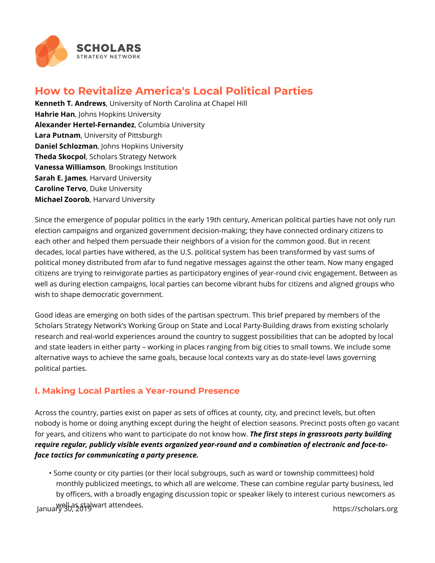

# **How to Revitalize America's Local Political Parties**

**Kenneth T. Andrews**, University of North Carolina at Chapel Hill **Hahrie Han**, Johns Hopkins University **Alexander Hertel-Fernandez**, Columbia University **Lara Putnam**, University of Pittsburgh **Daniel Schlozman**, Johns Hopkins University **Theda Skocpol**, Scholars Strategy Network **Vanessa Williamson**, Brookings Institution **Sarah E. James**, Harvard University **Caroline Tervo**, Duke University **Michael Zoorob**, Harvard University

Since the emergence of popular politics in the early 19th century, American political parties have not only run election campaigns and organized government decision-making; they have connected ordinary citizens to each other and helped them persuade their neighbors of a vision for the common good. But in recent decades, local parties have withered, as the U.S. political system has been transformed by vast sums of political money distributed from afar to fund negative messages against the other team. Now many engaged citizens are trying to reinvigorate parties as participatory engines of year-round civic engagement. Between as well as during election campaigns, local parties can become vibrant hubs for citizens and aligned groups who wish to shape democratic government.

Good ideas are emerging on both sides of the partisan spectrum. This brief prepared by members of the Scholars Strategy Network's Working Group on State and Local Party-Building draws from existing scholarly research and real-world experiences around the country to suggest possibilities that can be adopted by local and state leaders in either party – working in places ranging from big cities to small towns. We include some alternative ways to achieve the same goals, because local contexts vary as do state-level laws governing political parties.

### **I. Making Local Parties a Year-round Presence**

Across the country, parties exist on paper as sets of offices at county, city, and precinct levels, but often nobody is home or doing anything except during the height of election seasons. Precinct posts often go vacant for years, and citizens who want to participate do not know how. *The first steps in grassroots party building require regular, publicly visible events organized year-round and a combination of electronic and face-toface tactics for communicating a party presence.*

• Some county or city parties (or their local subgroups, such as ward or township committees) hold monthly publicized meetings, to which all are welcome. These can combine regular party business, led by officers, with a broadly engaging discussion topic or speaker likely to interest curious newcomers as well as stalwart attendees. January 30, 2019 https://scholars.org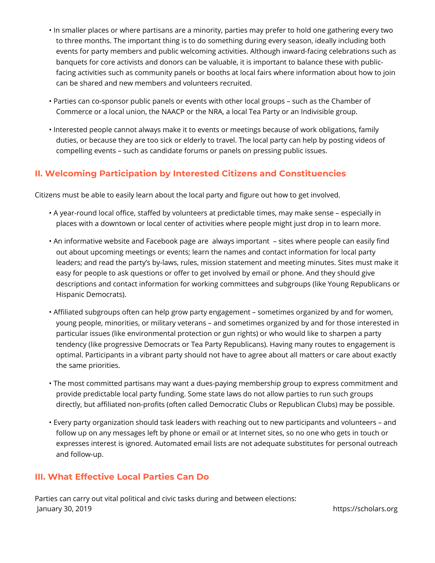- In smaller places or where partisans are a minority, parties may prefer to hold one gathering every two to three months. The important thing is to do something during every season, ideally including both events for party members and public welcoming activities. Although inward-facing celebrations such as banquets for core activists and donors can be valuable, it is important to balance these with publicfacing activities such as community panels or booths at local fairs where information about how to join can be shared and new members and volunteers recruited.
- Parties can co-sponsor public panels or events with other local groups such as the Chamber of Commerce or a local union, the NAACP or the NRA, a local Tea Party or an Indivisible group.
- Interested people cannot always make it to events or meetings because of work obligations, family duties, or because they are too sick or elderly to travel. The local party can help by posting videos of compelling events – such as candidate forums or panels on pressing public issues.

## **II. Welcoming Participation by Interested Citizens and Constituencies**

Citizens must be able to easily learn about the local party and figure out how to get involved.

- A year-round local office, staffed by volunteers at predictable times, may make sense especially in places with a downtown or local center of activities where people might just drop in to learn more.
- An informative website and Facebook page are always important sites where people can easily find out about upcoming meetings or events; learn the names and contact information for local party leaders; and read the party's by-laws, rules, mission statement and meeting minutes. Sites must make it easy for people to ask questions or offer to get involved by email or phone. And they should give descriptions and contact information for working committees and subgroups (like Young Republicans or Hispanic Democrats).
- Affiliated subgroups often can help grow party engagement sometimes organized by and for women, young people, minorities, or military veterans – and sometimes organized by and for those interested in particular issues (like environmental protection or gun rights) or who would like to sharpen a party tendency (like progressive Democrats or Tea Party Republicans). Having many routes to engagement is optimal. Participants in a vibrant party should not have to agree about all matters or care about exactly the same priorities.
- The most committed partisans may want a dues-paying membership group to express commitment and provide predictable local party funding. Some state laws do not allow parties to run such groups directly, but affiliated non-profits (often called Democratic Clubs or Republican Clubs) may be possible.
- Every party organization should task leaders with reaching out to new participants and volunteers and follow up on any messages left by phone or email or at Internet sites, so no one who gets in touch or expresses interest is ignored. Automated email lists are not adequate substitutes for personal outreach and follow-up.

### **III. What Effective Local Parties Can Do**

Parties can carry out vital political and civic tasks during and between elections: January 30, 2019 https://scholars.org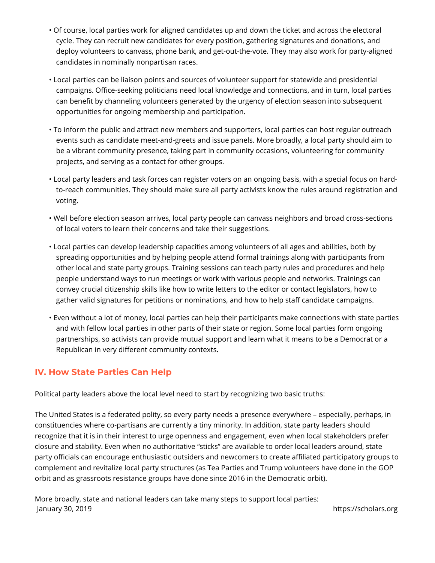- Of course, local parties work for aligned candidates up and down the ticket and across the electoral cycle. They can recruit new candidates for every position, gathering signatures and donations, and deploy volunteers to canvass, phone bank, and get-out-the-vote. They may also work for party-aligned candidates in nominally nonpartisan races.
- Local parties can be liaison points and sources of volunteer support for statewide and presidential campaigns. Office-seeking politicians need local knowledge and connections, and in turn, local parties can benefit by channeling volunteers generated by the urgency of election season into subsequent opportunities for ongoing membership and participation.
- To inform the public and attract new members and supporters, local parties can host regular outreach events such as candidate meet-and-greets and issue panels. More broadly, a local party should aim to be a vibrant community presence, taking part in community occasions, volunteering for community projects, and serving as a contact for other groups.
- Local party leaders and task forces can register voters on an ongoing basis, with a special focus on hardto-reach communities. They should make sure all party activists know the rules around registration and voting.
- Well before election season arrives, local party people can canvass neighbors and broad cross-sections of local voters to learn their concerns and take their suggestions.
- Local parties can develop leadership capacities among volunteers of all ages and abilities, both by spreading opportunities and by helping people attend formal trainings along with participants from other local and state party groups. Training sessions can teach party rules and procedures and help people understand ways to run meetings or work with various people and networks. Trainings can convey crucial citizenship skills like how to write letters to the editor or contact legislators, how to gather valid signatures for petitions or nominations, and how to help staff candidate campaigns.
- Even without a lot of money, local parties can help their participants make connections with state parties and with fellow local parties in other parts of their state or region. Some local parties form ongoing partnerships, so activists can provide mutual support and learn what it means to be a Democrat or a Republican in very different community contexts.

### **IV. How State Parties Can Help**

Political party leaders above the local level need to start by recognizing two basic truths:

The United States is a federated polity, so every party needs a presence everywhere – especially, perhaps, in constituencies where co-partisans are currently a tiny minority. In addition, state party leaders should recognize that it is in their interest to urge openness and engagement, even when local stakeholders prefer closure and stability. Even when no authoritative "sticks" are available to order local leaders around, state party officials can encourage enthusiastic outsiders and newcomers to create affiliated participatory groups to complement and revitalize local party structures (as Tea Parties and Trump volunteers have done in the GOP orbit and as grassroots resistance groups have done since 2016 in the Democratic orbit).

More broadly, state and national leaders can take many steps to support local parties: January 30, 2019 https://scholars.org